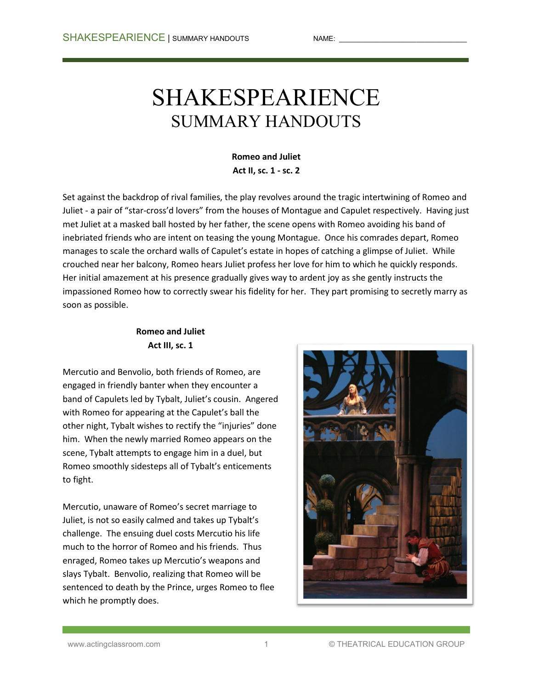# SHAKESPEARIENCE SUMMARY HANDOUTS

**Romeo and Juliet Act II, sc. 1 - sc. 2**

Set against the backdrop of rival families, the play revolves around the tragic intertwining of Romeo and Juliet - a pair of "star-cross'd lovers" from the houses of Montague and Capulet respectively. Having just met Juliet at a masked ball hosted by her father, the scene opens with Romeo avoiding his band of inebriated friends who are intent on teasing the young Montague. Once his comrades depart, Romeo manages to scale the orchard walls of Capulet's estate in hopes of catching a glimpse of Juliet. While crouched near her balcony, Romeo hears Juliet profess her love for him to which he quickly responds. Her initial amazement at his presence gradually gives way to ardent joy as she gently instructs the impassioned Romeo how to correctly swear his fidelity for her. They part promising to secretly marry as soon as possible.

## **Romeo and Juliet Act III, sc. 1**

Mercutio and Benvolio, both friends of Romeo, are engaged in friendly banter when they encounter a band of Capulets led by Tybalt, Juliet's cousin. Angered with Romeo for appearing at the Capulet's ball the other night, Tybalt wishes to rectify the "injuries" done him. When the newly married Romeo appears on the scene, Tybalt attempts to engage him in a duel, but Romeo smoothly sidesteps all of Tybalt's enticements to fight.

Mercutio, unaware of Romeo's secret marriage to Juliet, is not so easily calmed and takes up Tybalt's challenge. The ensuing duel costs Mercutio his life much to the horror of Romeo and his friends. Thus enraged, Romeo takes up Mercutio's weapons and slays Tybalt. Benvolio, realizing that Romeo will be sentenced to death by the Prince, urges Romeo to flee which he promptly does.

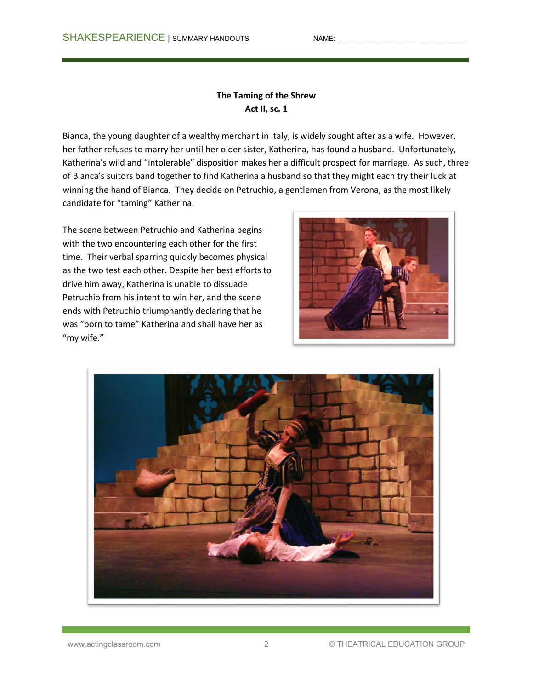#### **The Taming of the Shrew Act II, sc. 1**

Bianca, the young daughter of a wealthy merchant in Italy, is widely sought after as a wife. However, her father refuses to marry her until her older sister, Katherina, has found a husband. Unfortunately, Katherina's wild and "intolerable" disposition makes her a difficult prospect for marriage. As such, three of Bianca's suitors band together to find Katherina a husband so that they might each try their luck at winning the hand of Bianca. They decide on Petruchio, a gentlemen from Verona, as the most likely candidate for "taming" Katherina.

The scene between Petruchio and Katherina begins with the two encountering each other for the first time. Their verbal sparring quickly becomes physical as the two test each other. Despite her best efforts to drive him away, Katherina is unable to dissuade Petruchio from his intent to win her, and the scene ends with Petruchio triumphantly declaring that he was "born to tame" Katherina and shall have her as "my wife."



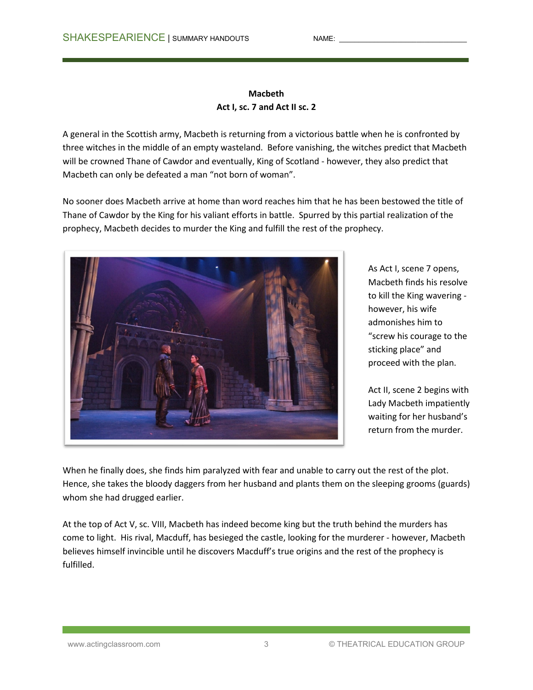## **Macbeth Act I, sc. 7 and Act II sc. 2**

A general in the Scottish army, Macbeth is returning from a victorious battle when he is confronted by three witches in the middle of an empty wasteland. Before vanishing, the witches predict that Macbeth will be crowned Thane of Cawdor and eventually, King of Scotland - however, they also predict that Macbeth can only be defeated a man "not born of woman".

No sooner does Macbeth arrive at home than word reaches him that he has been bestowed the title of Thane of Cawdor by the King for his valiant efforts in battle. Spurred by this partial realization of the prophecy, Macbeth decides to murder the King and fulfill the rest of the prophecy.



As Act I, scene 7 opens, Macbeth finds his resolve to kill the King wavering however, his wife admonishes him to "screw his courage to the sticking place" and proceed with the plan.

Act II, scene 2 begins with Lady Macbeth impatiently waiting for her husband's return from the murder.

When he finally does, she finds him paralyzed with fear and unable to carry out the rest of the plot. Hence, she takes the bloody daggers from her husband and plants them on the sleeping grooms (guards) whom she had drugged earlier.

At the top of Act V, sc. VIII, Macbeth has indeed become king but the truth behind the murders has come to light. His rival, Macduff, has besieged the castle, looking for the murderer - however, Macbeth believes himself invincible until he discovers Macduff's true origins and the rest of the prophecy is fulfilled.